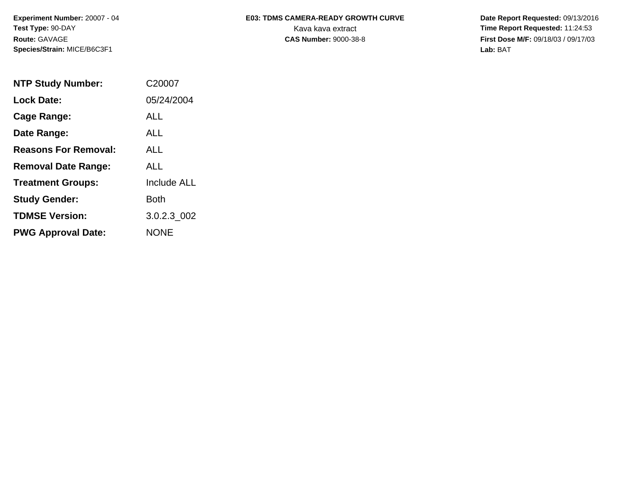**Experiment Number:** 20007 - 04 **Test Type:** 90-DAY **Route:** GAVAGE **Species/Strain:** MICE/B6C3F1

## E03: TDMS CAMERA-READY GROWTH CURVE Date Report Requested: 09/13/2016 Kava kava extract **Time Report Requested:** 11:24:53

**CAS Number:** 9000-38-8 **First Dose M/F:** 09/18/03 / 09/17/03 **Lab:** BAT

| <b>NTP Study Number:</b>    | C20007             |
|-----------------------------|--------------------|
| <b>Lock Date:</b>           | 05/24/2004         |
| Cage Range:                 | <b>ALL</b>         |
| Date Range:                 | <b>ALL</b>         |
| <b>Reasons For Removal:</b> | ALL.               |
| <b>Removal Date Range:</b>  | ALL                |
| <b>Treatment Groups:</b>    | <b>Include ALL</b> |
| <b>Study Gender:</b>        | Both               |
| <b>TDMSE Version:</b>       | 3.0.2.3 002        |
| <b>PWG Approval Date:</b>   | <b>NONE</b>        |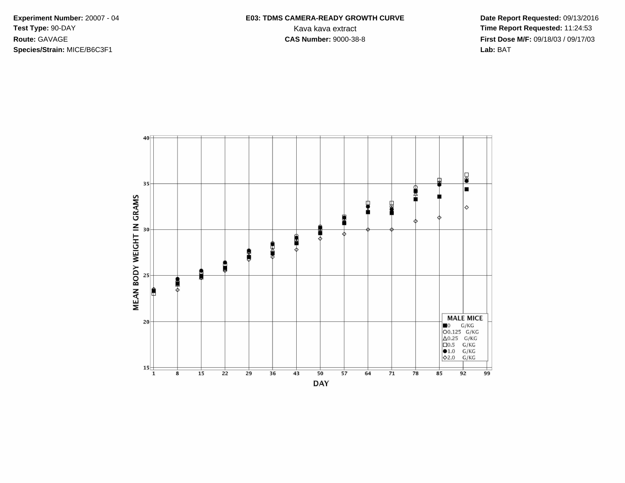**Species/Strain:** MICE/B6C3F1 **Lab:** BAT